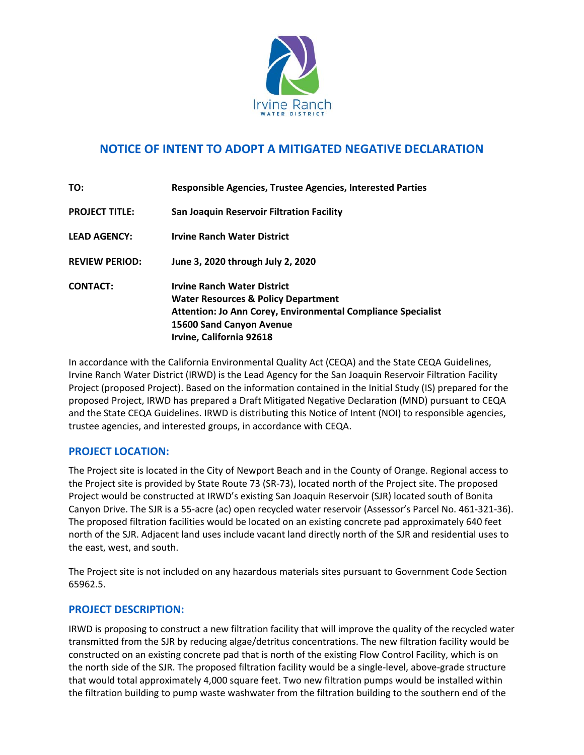

# **NOTICE OF INTENT TO ADOPT A MITIGATED NEGATIVE DECLARATION**

| TO:                   | Responsible Agencies, Trustee Agencies, Interested Parties                                                                                                                                                          |
|-----------------------|---------------------------------------------------------------------------------------------------------------------------------------------------------------------------------------------------------------------|
| <b>PROJECT TITLE:</b> | San Joaquin Reservoir Filtration Facility                                                                                                                                                                           |
| <b>LEAD AGENCY:</b>   | <b>Irvine Ranch Water District</b>                                                                                                                                                                                  |
| <b>REVIEW PERIOD:</b> | June 3, 2020 through July 2, 2020                                                                                                                                                                                   |
| <b>CONTACT:</b>       | <b>Irvine Ranch Water District</b><br><b>Water Resources &amp; Policy Department</b><br><b>Attention: Jo Ann Corey, Environmental Compliance Specialist</b><br>15600 Sand Canyon Avenue<br>Irvine, California 92618 |

In accordance with the California Environmental Quality Act (CEQA) and the State CEQA Guidelines, Irvine Ranch Water District (IRWD) is the Lead Agency for the San Joaquin Reservoir Filtration Facility Project (proposed Project). Based on the information contained in the Initial Study (IS) prepared for the proposed Project, IRWD has prepared a Draft Mitigated Negative Declaration (MND) pursuant to CEQA and the State CEQA Guidelines. IRWD is distributing this Notice of Intent (NOI) to responsible agencies, trustee agencies, and interested groups, in accordance with CEQA.

## **PROJECT LOCATION:**

The Project site is located in the City of Newport Beach and in the County of Orange. Regional access to the Project site is provided by State Route 73 (SR‐73), located north of the Project site. The proposed Project would be constructed at IRWD's existing San Joaquin Reservoir (SJR) located south of Bonita Canyon Drive. The SJR is a 55‐acre (ac) open recycled water reservoir (Assessor's Parcel No. 461‐321‐36). The proposed filtration facilities would be located on an existing concrete pad approximately 640 feet north of the SJR. Adjacent land uses include vacant land directly north of the SJR and residential uses to the east, west, and south.

The Project site is not included on any hazardous materials sites pursuant to Government Code Section 65962.5.

## **PROJECT DESCRIPTION:**

IRWD is proposing to construct a new filtration facility that will improve the quality of the recycled water transmitted from the SJR by reducing algae/detritus concentrations. The new filtration facility would be constructed on an existing concrete pad that is north of the existing Flow Control Facility, which is on the north side of the SJR. The proposed filtration facility would be a single‐level, above‐grade structure that would total approximately 4,000 square feet. Two new filtration pumps would be installed within the filtration building to pump waste washwater from the filtration building to the southern end of the